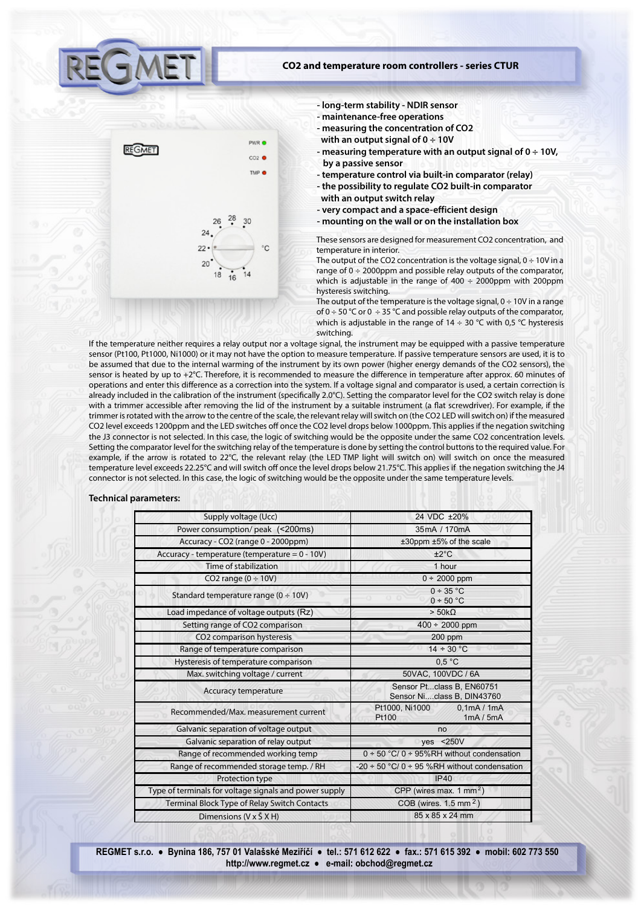

#### **CO2 and temperature room controllers - series CTUR**

- **long-term stability NDIR sensor**
- **maintenance-free operations**
- **measuring the concentration of CO2 with an output signal of 0 ÷ 10V**
- **measuring temperature with an output signal of 0 ÷ 10V, by a passive sensor**
- **temperature control via built-in comparator (relay)**
- **the possibility to regulate CO2 built-in comparator**
- **with an output switch relay**
- **very compact and a space-efficient design**
- **mounting on the wall or on the installation box**

These sensors are designed for measurement CO2 concentration, and temperature in interior.

The output of the CO2 concentration is the voltage signal,  $0 \div 10V$  in a range of  $0 \div 2000$ ppm and possible relay outputs of the comparator, which is adjustable in the range of  $400 \div 2000$ ppm with 200ppm hysteresis switching.

The output of the temperature is the voltage signal,  $0 \div 10V$  in a range of  $0 \div 50$  °C or  $0 \div 35$  °C and possible relay outputs of the comparator, which is adjustable in the range of  $14 \div 30$  °C with 0,5 °C hysteresis switching.

If the temperature neither requires a relay output nor a voltage signal, the instrument may be equipped with a passive temperature sensor (Pt100, Pt1000, Ni1000) or it may not have the option to measure temperature. If passive temperature sensors are used, it is to be assumed that due to the internal warming of the instrument by its own power (higher energy demands of the CO2 sensors), the sensor is heated by up to +2 $\degree$ C. Therefore, it is recommended to measure the difference in temperature after approx. 60 minutes of operations and enter this difference as a correction into the system. If a voltage signal and comparator is used, a certain correction is already included in the calibration of the instrument (specifically 2.0°C). Setting the comparator level for the CO2 switch relay is done with a trimmer accessible after removing the lid of the instrument by a suitable instrument (a flat screwdriver). For example, if the trimmer is rotated with the arrow to the centre of the scale, the relevant relay will switch on (the CO2 LED will switch on) if the measured CO2 level exceeds 1200ppm and the LED switches off once the CO2 level drops below 1000ppm. This applies if the negation switching the J3 connector is not selected. In this case, the logic of switching would be the opposite under the same CO2 concentration levels. Setting the comparator level for the switching relay of the temperature is done by setting the control buttons to the required value. For example, if the arrow is rotated to 22°C, the relevant relay (the LED TMP light will switch on) will switch on once the measured temperature level exceeds 22.25°C and will switch off once the level drops below 21.75°C. This applies if the negation switching the J4 connector is not selected. In this case, the logic of switching would be the opposite under the same temperature levels.

## **Technical parameters:**

| Supply voltage (Ucc)                                   | 24 VDC ±20%                                             |  |
|--------------------------------------------------------|---------------------------------------------------------|--|
| Power consumption/peak (<200ms)                        | 35mA / 170mA                                            |  |
| Accuracy - CO2 (range 0 - 2000ppm)                     | ±30ppm ±5% of the scale                                 |  |
| Accuracy - temperature (temperature = 0 - 10V)         | ±2°C                                                    |  |
| Time of stabilization                                  | 1 hour                                                  |  |
| CO2 range $(0 \div 10V)$                               | $0 \div 2000$ ppm                                       |  |
| Standard temperature range ( $0 \div 10V$ )            | $0 \div 35$ °C<br>0 ÷ 50 °C                             |  |
| Load impedance of voltage outputs (Rz)                 | $>$ 50k $\Omega$                                        |  |
| Setting range of CO2 comparison                        | $400 \div 2000$ ppm                                     |  |
| CO2 comparison hysteresis                              | $200$ ppm                                               |  |
| Range of temperature comparison                        | $14 \div 30$ °C                                         |  |
| Hysteresis of temperature comparison                   | 0.5 °C                                                  |  |
| Max. switching voltage / current                       | 50VAC, 100VDC / 6A                                      |  |
| Accuracy temperature                                   | Sensor Ptclass B, EN60751<br>Sensor Niclass B, DIN43760 |  |
| Recommended/Max, measurement current                   | Pt1000, Ni1000<br>0,1mA/1mA<br>1mA / 5mA<br>Pt100       |  |
| Galvanic separation of voltage output                  | no                                                      |  |
| Galvanic separation of relay output                    | yes < 250V                                              |  |
| Range of recommended working temp                      | $0 \div 50$ °C/ $0 \div 95\%$ RH without condensation   |  |
| Range of recommended storage temp. / RH                | -20 $\div$ 50 °C/ 0 $\div$ 95 %RH without condensation  |  |
| Protection type                                        | IP40                                                    |  |
| Type of terminals for voltage signals and power supply | CPP (wires max. $1 \text{ mm}^2$ )                      |  |
| Terminal Block Type of Relay Switch Contacts           | COB (wires. $1.5$ mm <sup>2</sup> )                     |  |
| Dimensions $(V \times \check{S} \times H)$             | 85 x 85 x 24 mm                                         |  |

**REGMET s.r.o. ● Bynina 186, 757 01 Valašské Meziříčí ● tel.: 571 612 622 ● fax.: 571 615 392 ● mobil: 602 773 550 http://www.regmet.cz ● e-mail: obchod@regmet.cz**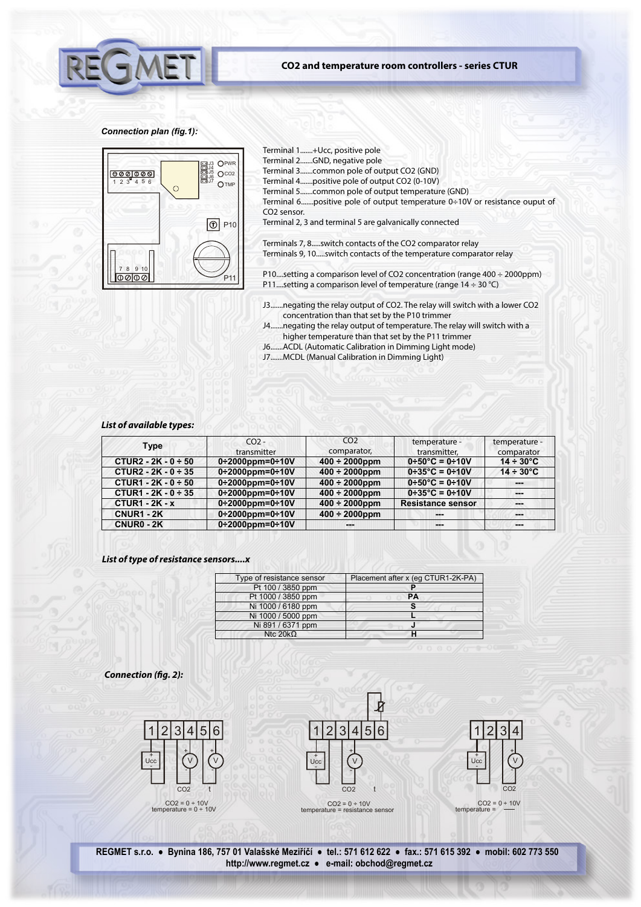

# **CO2 and temperature room controllers - series CTUR**

## *Connection plan (fig.1):*



Terminal 1.......+Ucc, positive pole

- Terminal 2.......GND, negative pole
- Terminal 3.......common pole of output CO2 (GND)
- Terminal 4.......positive pole of output CO2 (0-10V)
- Terminal 5.......common pole of output temperature (GND)
- Terminal 6.......positive pole of output temperature 0÷10V or resistance ouput of CO2 sensor.
- Terminal 2, 3 and terminal 5 are galvanically connected

Terminals 7, 8.....switch contacts of the CO2 comparator relay Terminals 9, 10.....switch contacts of the temperature comparator relay

P10....setting a comparison level of CO2 concentration (range 400 ÷ 2000ppm) P11....setting a comparison level of temperature (range  $14 \div 30$  °C)

- J3.......negating the relay output of CO2. The relay will switch with a lower CO2 concentration than that set by the P10 trimmer
- J4.......negating the relay output of temperature. The relay will switch with a higher temperature than that set by the P11 trimmer
- J6.......ACDL (Automatic Calibration in Dimming Light mode)
- J7.......MCDL (Manual Calibration in Dimming Light)

## *List of available types:*

| <b>Type</b>              | CO <sub>2</sub><br>transmitter  | CO <sub>2</sub><br>comparator, | temperature -<br>transmitter.        | temperature -<br>comparator |
|--------------------------|---------------------------------|--------------------------------|--------------------------------------|-----------------------------|
| CTUR2 - $2K - 0 \div 50$ | $0+2000$ ppm=0+10V              | $400 \div 2000$ ppm            | $0+50^{\circ}C = 0+10V$              | $14 \div 30^{\circ}$ C      |
| CTUR2 - $2K - 0 \div 35$ | $0+2000$ ppm=0+10V              | $400 \div 2000$ ppm            | $0+35^{\circ}C = 0+10V$              | $14 \div 30^{\circ}$ C      |
| CTUR1 - $2K - 0 \div 50$ | $0+2000$ ppm=0 $\div$ 10V       | $400 \div 2000$ ppm            | $0 \div 50^{\circ}$ C = 0 $\div 10V$ | ---                         |
| CTUR1 - $2K - 0 \div 35$ | $0+2000$ ppm=0+10V              | $400 \div 2000$ ppm            | $0+35^{\circ}C = 0+10V$              | $- - -$                     |
| $CTUR1 - 2K - x$         | $0+2000$ ppm=0+10V              | $400 \div 2000$ ppm            | <b>Resistance sensor</b>             | ---                         |
| <b>CNUR1 - 2K</b>        | $0 \div 2000$ ppm=0 $\div 10$ V | $400 \div 2000$ ppm            | ---                                  | ---                         |
| CNUR0 - 2K               | $0\div 2000$ ppm=0 $\div 10V$   |                                | ---                                  | ---                         |

## *List of type of resistance sensors....x*

| Type of resistance sensor | Placement after x (eq CTUR1-2K-PA) |
|---------------------------|------------------------------------|
| Pt 100 / 3850 ppm         |                                    |
| Pt 1000 / 3850 ppm        | <b>PA</b>                          |
| Ni 1000 / 6180 ppm        |                                    |
| Ni 1000 / 5000 ppm        |                                    |
| Ni 891 / 6371 ppm         |                                    |
| Ntc $20k\Omega$           |                                    |

**Connection (fig. 2):** 







temperature

**REGMET s.r.o. ● Bynina 186, 757 01 Valašské Meziříčí ● tel.: 571 612 622 ● fax.: 571 615 392 ● mobil: 602 773 550 http://www.regmet.cz ● e-mail: obchod@regmet.cz**